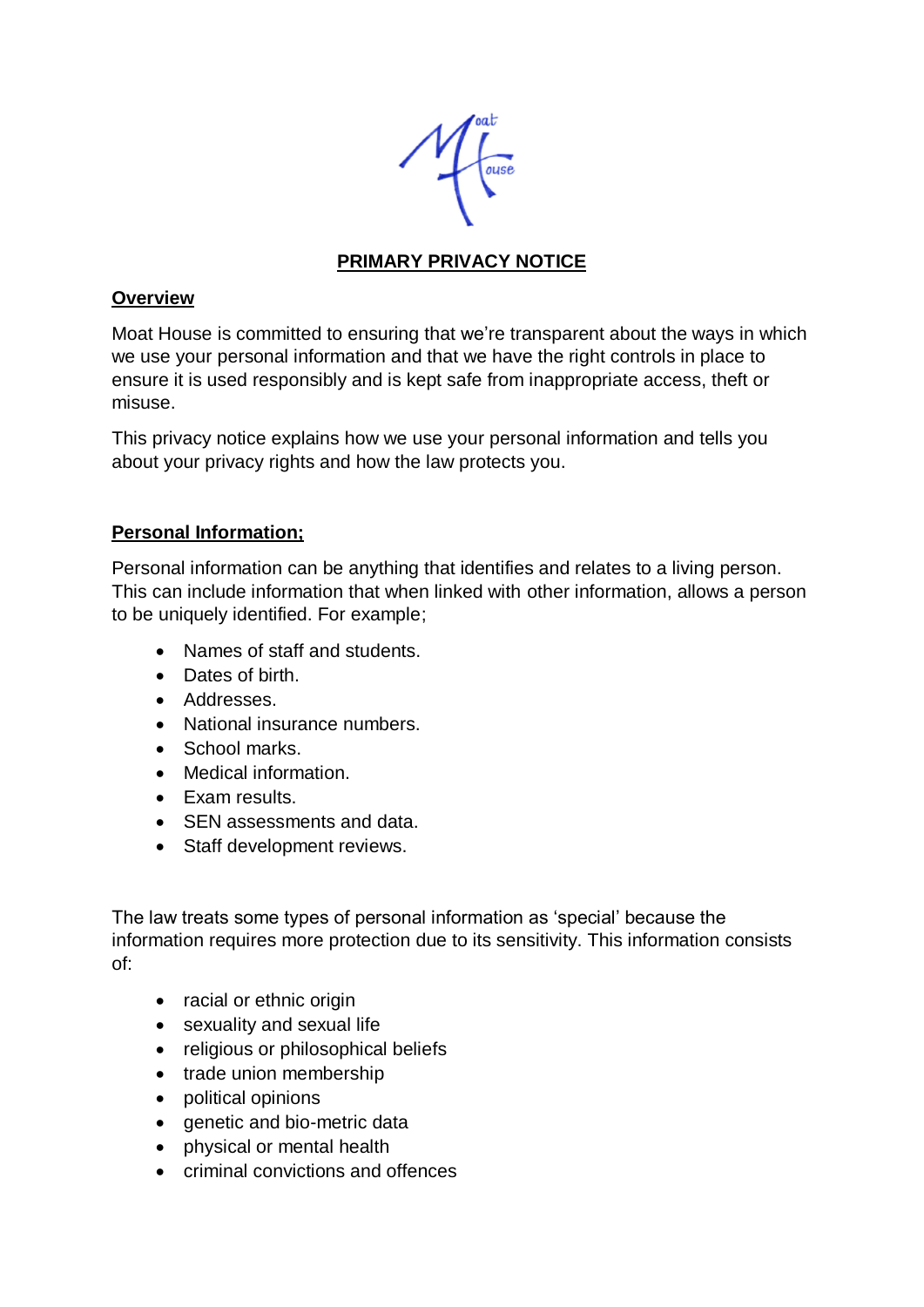

# **PRIMARY PRIVACY NOTICE**

#### **Overview**

Moat House is committed to ensuring that we're transparent about the ways in which we use your personal information and that we have the right controls in place to ensure it is used responsibly and is kept safe from inappropriate access, theft or misuse.

This privacy notice explains how we use your personal information and tells you about your privacy rights and how the law protects you.

### **Personal Information;**

Personal information can be anything that identifies and relates to a living person. This can include information that when linked with other information, allows a person to be uniquely identified. For example;

- Names of staff and students.
- Dates of birth.
- Addresses.
- National insurance numbers.
- School marks.
- Medical information.
- Exam results.
- SEN assessments and data.
- Staff development reviews.

The law treats some types of personal information as 'special' because the information requires more protection due to its sensitivity. This information consists of:

- racial or ethnic origin
- sexuality and sexual life
- religious or philosophical beliefs
- trade union membership
- political opinions
- genetic and bio-metric data
- physical or mental health
- criminal convictions and offences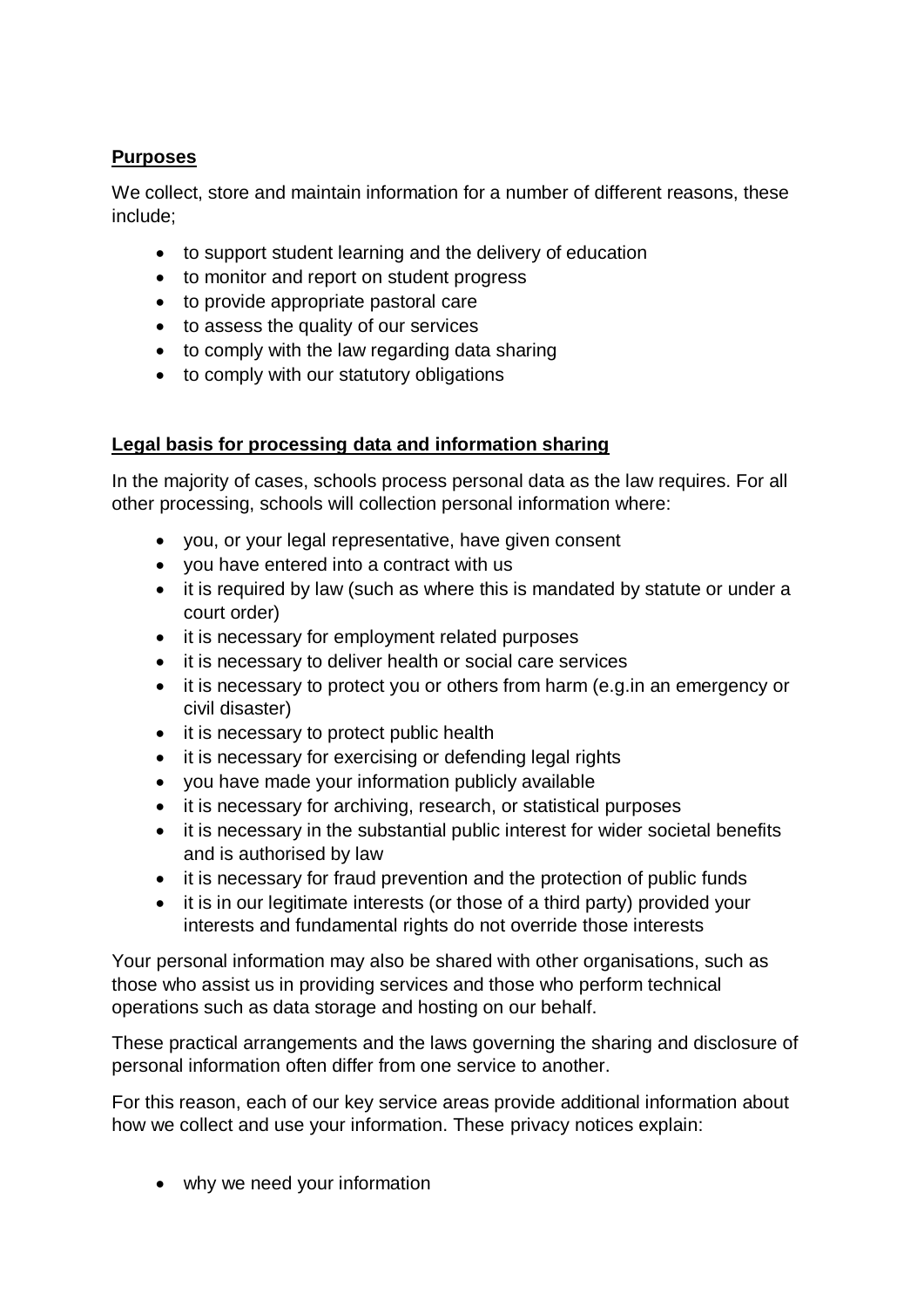## **Purposes**

We collect, store and maintain information for a number of different reasons, these include;

- to support student learning and the delivery of education
- to monitor and report on student progress
- to provide appropriate pastoral care
- to assess the quality of our services
- to comply with the law regarding data sharing
- to comply with our statutory obligations

### **Legal basis for processing data and information sharing**

In the majority of cases, schools process personal data as the law requires. For all other processing, schools will collection personal information where:

- you, or your legal representative, have given consent
- you have entered into a contract with us
- it is required by law (such as where this is mandated by statute or under a court order)
- it is necessary for employment related purposes
- it is necessary to deliver health or social care services
- it is necessary to protect you or others from harm (e.g.in an emergency or civil disaster)
- it is necessary to protect public health
- it is necessary for exercising or defending legal rights
- you have made your information publicly available
- it is necessary for archiving, research, or statistical purposes
- it is necessary in the substantial public interest for wider societal benefits and is authorised by law
- it is necessary for fraud prevention and the protection of public funds
- it is in our legitimate interests (or those of a third party) provided your interests and fundamental rights do not override those interests

Your personal information may also be shared with other organisations, such as those who assist us in providing services and those who perform technical operations such as data storage and hosting on our behalf.

These practical arrangements and the laws governing the sharing and disclosure of personal information often differ from one service to another.

For this reason, each of our key service areas provide additional information about how we collect and use your information. These privacy notices explain:

• why we need your information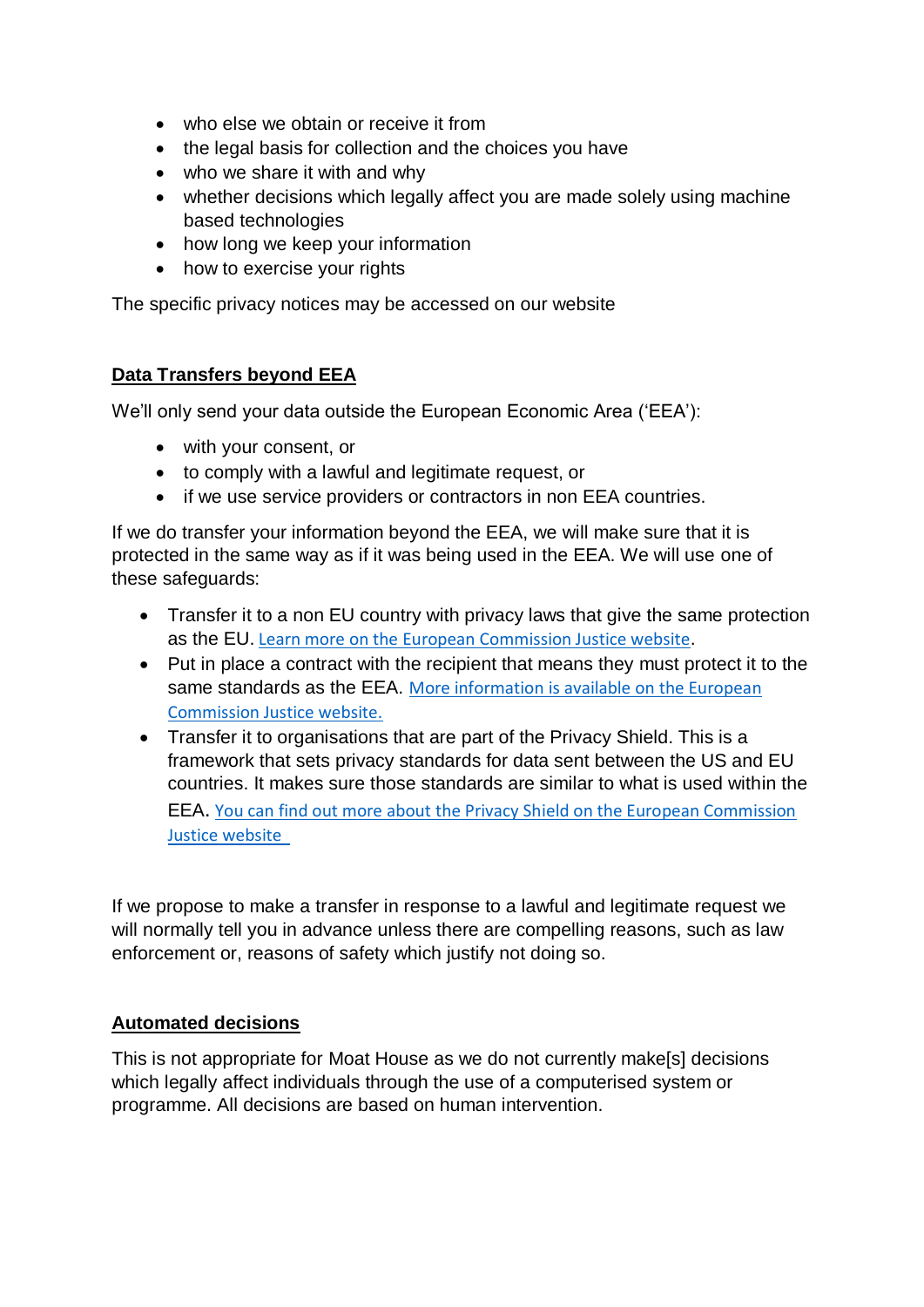- who else we obtain or receive it from
- the legal basis for collection and the choices you have
- who we share it with and why
- whether decisions which legally affect you are made solely using machine based technologies
- how long we keep your information
- how to exercise your rights

The specific privacy notices may be accessed on our website

#### **Data Transfers beyond EEA**

We'll only send your data outside the European Economic Area ('EEA'):

- with your consent, or
- to comply with a lawful and legitimate request, or
- if we use service providers or contractors in non EEA countries.

If we do transfer your information beyond the EEA, we will make sure that it is protected in the same way as if it was being used in the EEA. We will use one of these safeguards:

- Transfer it to a non EU country with privacy laws that give the same protection as the EU. [Learn more on the European Commission Justice website.](https://ec.europa.eu/info/law/law-topic/data-protection_en)
- Put in place a contract with the recipient that means they must protect it to the same standards as the EEA. [More information is available on the European](http://ec.europa.eu/justice/data-protection/international-transfers/adequacy/index_en.htm)  [Commission Justice website.](http://ec.europa.eu/justice/data-protection/international-transfers/adequacy/index_en.htm)
- Transfer it to organisations that are part of the Privacy Shield. This is a framework that sets privacy standards for data sent between the US and EU countries. It makes sure those standards are similar to what is used within the EEA. [You can find out more about the Privacy Shield on the European Commission](https://ec.europa.eu/info/law/law-topic/data-protection/data-transfers-outside-eu/eu-us-privacy-shield_en)  [Justice website](https://ec.europa.eu/info/law/law-topic/data-protection/data-transfers-outside-eu/eu-us-privacy-shield_en)

If we propose to make a transfer in response to a lawful and legitimate request we will normally tell you in advance unless there are compelling reasons, such as law enforcement or, reasons of safety which justify not doing so.

#### **Automated decisions**

This is not appropriate for Moat House as we do not currently make[s] decisions which legally affect individuals through the use of a computerised system or programme. All decisions are based on human intervention.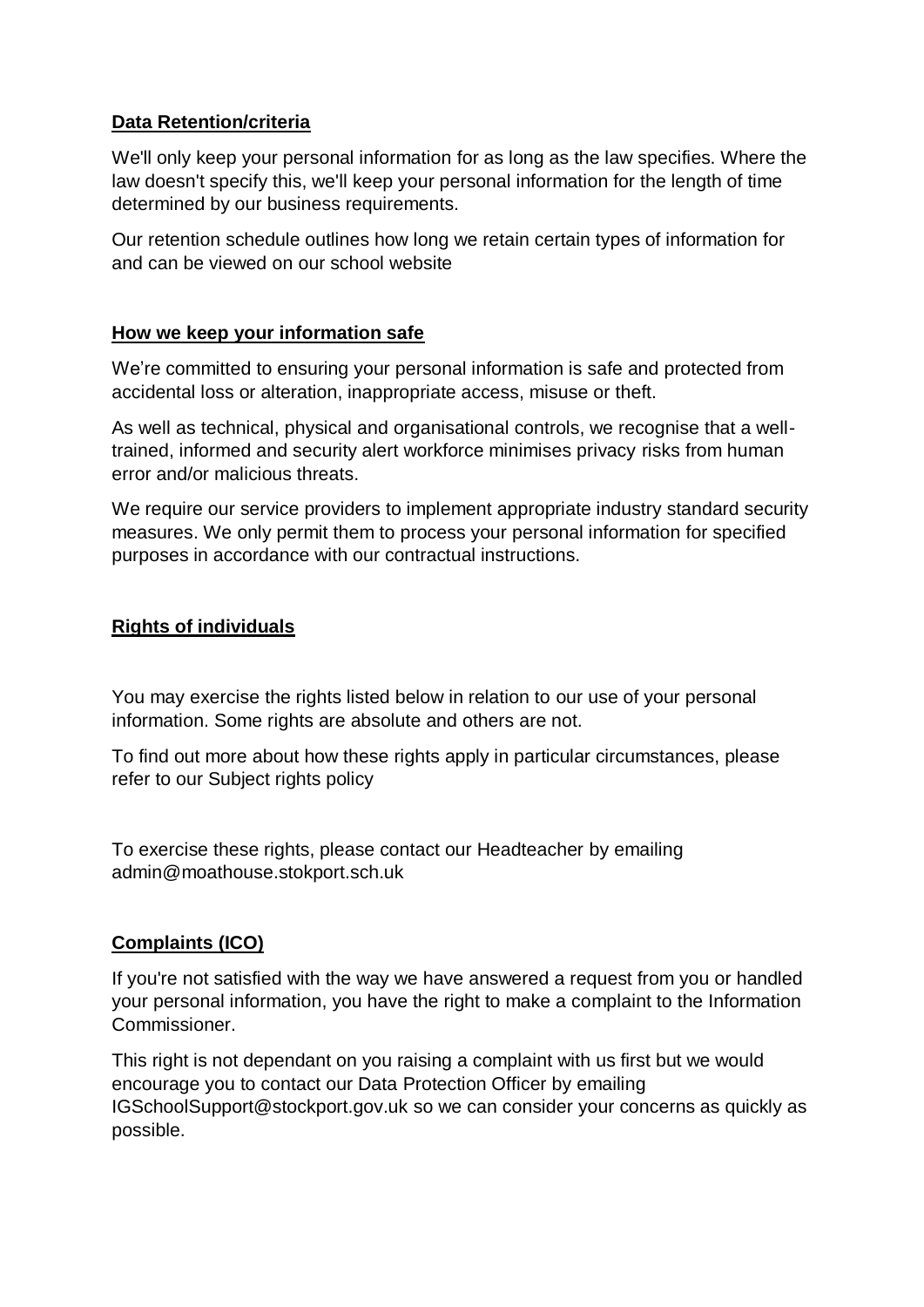## **Data Retention/criteria**

We'll only keep your personal information for as long as the law specifies. Where the law doesn't specify this, we'll keep your personal information for the length of time determined by our business requirements.

Our retention schedule outlines how long we retain certain types of information for and can be viewed on our school website

### **How we keep your information safe**

We're committed to ensuring your personal information is safe and protected from accidental loss or alteration, inappropriate access, misuse or theft.

As well as technical, physical and organisational controls, we recognise that a welltrained, informed and security alert workforce minimises privacy risks from human error and/or malicious threats.

We require our service providers to implement appropriate industry standard security measures. We only permit them to process your personal information for specified purposes in accordance with our contractual instructions.

### **Rights of individuals**

You may exercise the rights listed below in relation to our use of your personal information. Some rights are absolute and others are not.

To find out more about how these rights apply in particular circumstances, please refer to our Subject rights policy

To exercise these rights, please contact our Headteacher by emailing admin@moathouse.stokport.sch.uk

### **Complaints (ICO)**

If you're not satisfied with the way we have answered a request from you or handled your personal information, you have the right to make a complaint to the Information Commissioner.

This right is not dependant on you raising a complaint with us first but we would encourage you to contact our Data Protection Officer by emailing [IGSchoolSupport@stockport.gov.uk](mailto:IGSchoolSupport@stockport.gov.uk) so we can consider your concerns as quickly as possible.